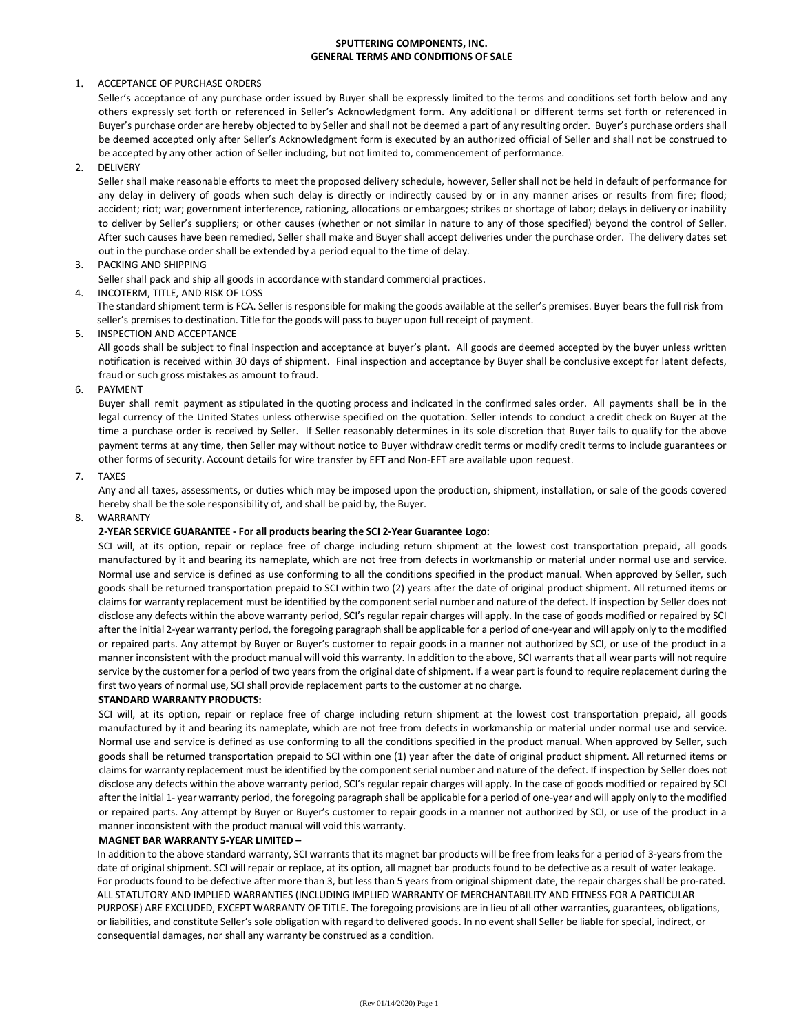# **SPUTTERING COMPONENTS, INC. GENERAL TERMS AND CONDITIONS OF SALE**

## 1. ACCEPTANCE OF PURCHASE ORDERS

Seller's acceptance of any purchase order issued by Buyer shall be expressly limited to the terms and conditions set forth below and any others expressly set forth or referenced in Seller's Acknowledgment form. Any additional or different terms set forth or referenced in Buyer's purchase order are hereby objected to by Seller and shall not be deemed a part of any resulting order. Buyer's purchase orders shall be deemed accepted only after Seller's Acknowledgment form is executed by an authorized official of Seller and shall not be construed to be accepted by any other action of Seller including, but not limited to, commencement of performance.

#### 2. DELIVERY

Seller shall make reasonable efforts to meet the proposed delivery schedule, however, Seller shall not be held in default of performance for any delay in delivery of goods when such delay is directly or indirectly caused by or in any manner arises or results from fire; flood; accident; riot; war; government interference, rationing, allocations or embargoes; strikes or shortage of labor; delays in delivery or inability to deliver by Seller's suppliers; or other causes (whether or not similar in nature to any of those specified) beyond the control of Seller. After such causes have been remedied, Seller shall make and Buyer shall accept deliveries under the purchase order. The delivery dates set out in the purchase order shall be extended by a period equal to the time of delay.

## 3. PACKING AND SHIPPING

Seller shall pack and ship all goods in accordance with standard commercial practices.

## 4. INCOTERM, TITLE, AND RISK OF LOSS

The standard shipment term is FCA. Seller is responsible for making the goods available at the seller's premises. Buyer bears the full risk from seller's premises to destination. Title for the goods will pass to buyer upon full receipt of payment.

## 5. INSPECTION AND ACCEPTANCE

All goods shall be subject to final inspection and acceptance at buyer's plant. All goods are deemed accepted by the buyer unless written notification is received within 30 days of shipment. Final inspection and acceptance by Buyer shall be conclusive except for latent defects, fraud or such gross mistakes as amount to fraud.

## 6. PAYMENT

Buyer shall remit payment as stipulated in the quoting process and indicated in the confirmed sales order. All payments shall be in the legal currency of the United States unless otherwise specified on the quotation. Seller intends to conduct a credit check on Buyer at the time a purchase order is received by Seller. If Seller reasonably determines in its sole discretion that Buyer fails to qualify for the above payment terms at any time, then Seller may without notice to Buyer withdraw credit terms or modify credit terms to include guarantees or other forms of security. Account details for wire transfer by EFT and Non-EFT are available upon request.

## 7. TAXES

Any and all taxes, assessments, or duties which may be imposed upon the production, shipment, installation, or sale of the goods covered hereby shall be the sole responsibility of, and shall be paid by, the Buyer.

#### 8. WARRANTY

## **2-YEAR SERVICE GUARANTEE - For all products bearing the SCI 2-Year Guarantee Logo:**

SCI will, at its option, repair or replace free of charge including return shipment at the lowest cost transportation prepaid, all goods manufactured by it and bearing its nameplate, which are not free from defects in workmanship or material under normal use and service. Normal use and service is defined as use conforming to all the conditions specified in the product manual. When approved by Seller, such goods shall be returned transportation prepaid to SCI within two (2) years after the date of original product shipment. All returned items or claims for warranty replacement must be identified by the component serial number and nature of the defect. If inspection by Seller does not disclose any defects within the above warranty period, SCI's regular repair charges will apply. In the case of goods modified or repaired by SCI after the initial 2-year warranty period, the foregoing paragraph shall be applicable for a period of one-year and will apply only to the modified or repaired parts. Any attempt by Buyer or Buyer's customer to repair goods in a manner not authorized by SCI, or use of the product in a manner inconsistent with the product manual will void this warranty. In addition to the above, SCI warrants that all wear parts will not require service by the customer for a period of two years from the original date of shipment. If a wear part is found to require replacement during the first two years of normal use, SCI shall provide replacement parts to the customer at no charge.

#### **STANDARD WARRANTY PRODUCTS:**

SCI will, at its option, repair or replace free of charge including return shipment at the lowest cost transportation prepaid, all goods manufactured by it and bearing its nameplate, which are not free from defects in workmanship or material under normal use and service. Normal use and service is defined as use conforming to all the conditions specified in the product manual. When approved by Seller, such goods shall be returned transportation prepaid to SCI within one (1) year after the date of original product shipment. All returned items or claims for warranty replacement must be identified by the component serial number and nature of the defect. If inspection by Seller does not disclose any defects within the above warranty period, SCI's regular repair charges will apply. In the case of goods modified or repaired by SCI after the initial 1- year warranty period, the foregoing paragraph shall be applicable for a period of one-year and will apply only to the modified or repaired parts. Any attempt by Buyer or Buyer's customer to repair goods in a manner not authorized by SCI, or use of the product in a manner inconsistent with the product manual will void this warranty.

#### **MAGNET BAR WARRANTY 5-YEAR LIMITED –**

In addition to the above standard warranty, SCI warrants that its magnet bar products will be free from leaks for a period of 3-years from the date of original shipment. SCI will repair or replace, at its option, all magnet bar products found to be defective as a result of water leakage. For products found to be defective after more than 3, but less than 5 years from original shipment date, the repair charges shall be pro-rated. ALL STATUTORY AND IMPLIED WARRANTIES (INCLUDING IMPLIED WARRANTY OF MERCHANTABILITY AND FITNESS FOR A PARTICULAR PURPOSE) ARE EXCLUDED, EXCEPT WARRANTY OF TITLE. The foregoing provisions are in lieu of all other warranties, guarantees, obligations, or liabilities, and constitute Seller's sole obligation with regard to delivered goods. In no event shall Seller be liable for special, indirect, or consequential damages, nor shall any warranty be construed as a condition.

of 2